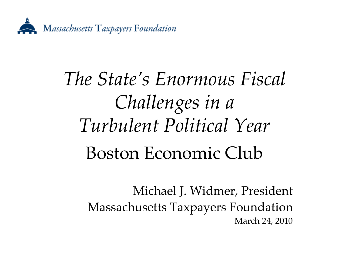

# *The State's Enormous Fiscal Challenges in <sup>a</sup> Turbulent Political Year* Boston Economic Club

Michael J. Widmer, President Massachusetts Taxpayers Foundation March 24, 2010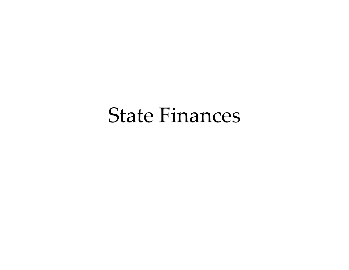#### State Finances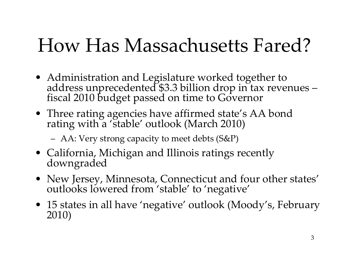# How Has Massachusetts Fared?

- Administration and Legislature worked together to address unprecedented \$3.3 billion drop in tax revenues fiscal <sup>2010</sup> budget passe<sup>d</sup> on time to Governor
- Three rating agencies have affirmed state's AA bond rating with <sup>a</sup> 'stable' outlook (March 2010)
	- AA: Very strong capacity to meet debts (S&P)
- California, Michigan and Illinois ratings recently downgraded
- New Jersey, Minnesota, Connecticut and four other states' outlooks lowered from 'stable' to 'negative' outlooks lowered from 'stable' to 'negative'
- 15 states in all have 'negative' outlook (Moody's, February 2010)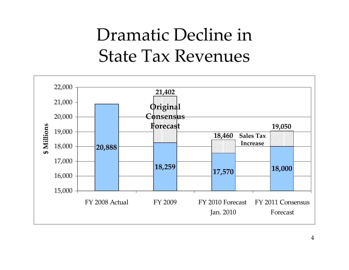#### Dramatic Decline in State Tax Revenues

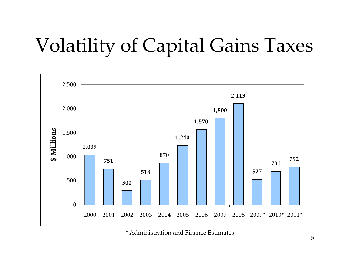# Volatility of Capital Gains Taxes



\* Administration and Finance Estimates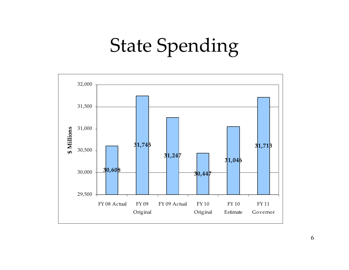# State Spending

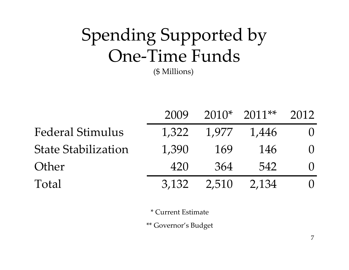# Spending Supported by One‐Time Funds

(\$ Millions)

|                            | 2009  |       | $2010*$ 2011** | 2012             |
|----------------------------|-------|-------|----------------|------------------|
| <b>Federal Stimulus</b>    | 1,322 | 1,977 | 1,446          | $\left( \right)$ |
| <b>State Stabilization</b> | 1,390 | 169   | 146            | $\left( \right)$ |
| Other                      | 420   | 364   | 542            | $\left( \right)$ |
| Total                      | 3,132 | 2,510 | 2,134          | $\left( \right)$ |

\* Current Estimate

\*\* Governor's Budget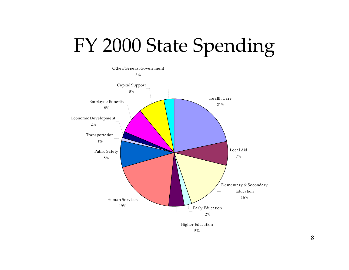# FY 2000 State Spending

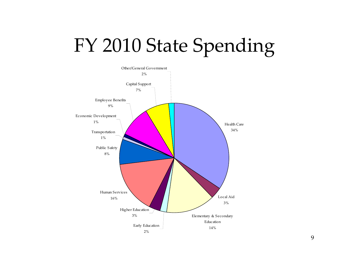# FY 2010 State Spending

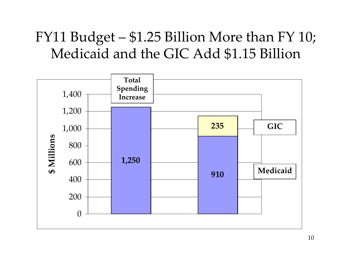#### FY11 Budget – \$1.25 Billion More than FY 10; Medicaid and the GIC Add \$1.15 Billion

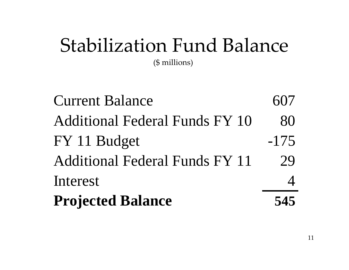# Stabilization Fund Balance

(\$ millions)

Current Balance 607 Additional Federal Funds FY 10 80 FY 11 Budget -175Additional Federal Funds FY 11 29 Int erest 4**P rojected B alance 545**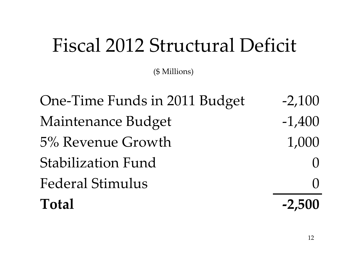# Fiscal 2012 Structural Deficit

(\$ Millions)

One-Time Funds in 2011 Budget -2,100 Maintenance Budget -1,400 5% Revenue Growth 1,000 Stabilization Fund Federal Stimulus 0 **Total ‐2,500**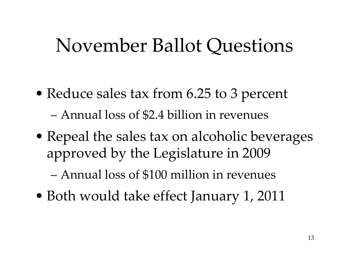# November Ballot Questions

- Reduce sales tax from 6.25 to 3 percen<sup>t</sup> –Annual loss of \$2.4 billion in revenues
- Repeal the sales tax on alcoholic beverages approved by the Legislature in 2009

–Annual loss of \$100 million in revenues

• Both would take effect January 1, 2011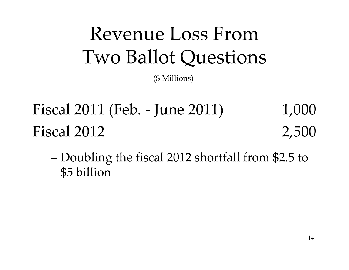# Revenue Loss From Two Ballot Questions

(\$ Millions)

Fiscal 2011 (Feb. ‐ June 2011) 1,000 Fiscal 2012 2,500

– Doubling the fiscal 2012 shortfall from \$2.5 to \$5 billion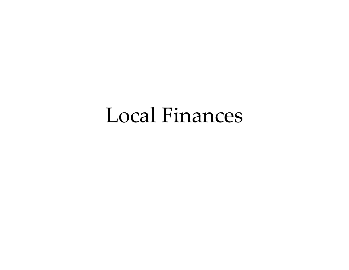#### Local Finances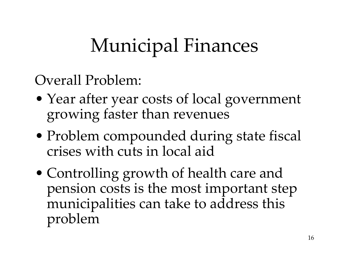# Municipal Finances

Overall Problem:

- Year after year costs of local governmen<sup>t</sup> growing faster than revenues
- Problem compounded during state fiscal crises with cuts in local aid
- Controlling growth of health care and pension costs is the most important step municipalities can take to address this problem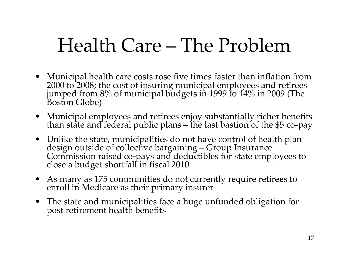# Health Care – The Problem

- Municipal health care costs rose five times faster than inflation from 2000 to 2008: the cost of insuring municipal employees and retirees 2000 to 2008; the cost of insuring municipal employees and retirees jumped from 8% of municipal budgets in 1999 to 14% in 2009 (The Boston Globe)
- Municipal employees and retirees enjoy substantially richer benefits than state and federal public plans the last bastion of the \$5 co‐pay
- Unlike the state, municipalities do not have control of health plan design outside of collective bargaining - Group Insurance Commission raised co-pays and deductibles for state employees to<br>close a budget shortfall in fiscal 2010
- As many as <sup>175</sup> communities do not currently require retirees to enroll inenroll in Medicare as their primary insurer
- The state and municipalities face <sup>a</sup> huge unfunded obligation for pos<sup>t</sup> retirement health benefits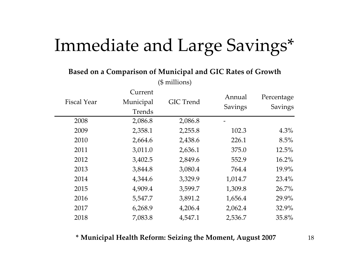#### Immediate and Large Savings\*

**Based on <sup>a</sup> Comparison of Municipal and GIC Rates of Growth**

|                    | Current   |                  | Annual  | Percentage     |
|--------------------|-----------|------------------|---------|----------------|
| <b>Fiscal Year</b> | Municipal | <b>GIC</b> Trend |         |                |
|                    | Trends    |                  | Savings | <b>Savings</b> |
| 2008               | 2,086.8   | 2,086.8          |         |                |
| 2009               | 2,358.1   | 2,255.8          | 102.3   | 4.3%           |
| 2010               | 2,664.6   | 2,438.6          | 226.1   | 8.5%           |
| 2011               | 3,011.0   | 2,636.1          | 375.0   | 12.5%          |
| 2012               | 3,402.5   | 2,849.6          | 552.9   | 16.2%          |
| 2013               | 3,844.8   | 3,080.4          | 764.4   | 19.9%          |
| 2014               | 4,344.6   | 3,329.9          | 1,014.7 | 23.4%          |
| 2015               | 4,909.4   | 3,599.7          | 1,309.8 | 26.7%          |
| 2016               | 5,547.7   | 3,891.2          | 1,656.4 | 29.9%          |
| 2017               | 6,268.9   | 4,206.4          | 2,062.4 | 32.9%          |
| 2018               | 7,083.8   | 4,547.1          | 2,536.7 | 35.8%          |

(\$ millions)

#### **\* Municipal Health Reform: Seizing the Moment, August <sup>2007</sup>** <sup>18</sup>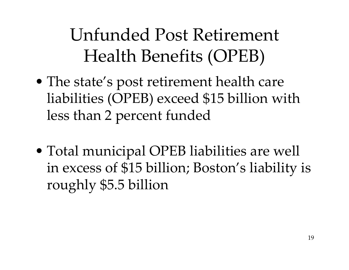# Unfunded Post Retirement Health Benefits (OPEB)

- The state's pos<sup>t</sup> retirement health care liabilities (OPEB) exceed \$15 billion with less than <sup>2</sup> percen<sup>t</sup> funded
- Total municipal OPEB liabilities are well in excess of \$15 billion; Boston's liability is roughly \$5.5 billion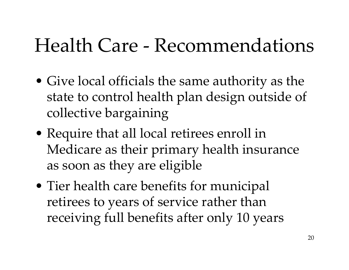# Health Care ‐ Recommendations

- Give local officials the same authority as the state to control health plan design outside of collective bargaining
- Require that all local retirees enroll in Medicare as their primary health insurance as soon as they are eligible
- Tier health care benefits for municipal retirees to years of service rather than receiving full benefits after only 10 years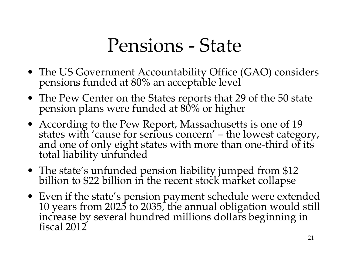### Pensions ‐ State

- The US Government Accountability Office (GAO) considers pensions funded at 80% an acceptable level
- The Pew Center on the States reports that 29 of the 50 state pension plans were funded at 80% or higher
- According to the Pew Report, Massachusetts is one of 19 states with 'cause for serious concern' – the lowest category,<br>and one of only eight states with more than one-third of its<br>total liability unfunded
- The state's unfunded pension liability jumped from \$12 billion to \$22 billion in the recent stock market collapse
- Even if the state's pension paymen<sup>t</sup> schedule were extended 1010 years from 2025 to 2035, the annual obligation would still<br>increase by several hundred millions dollars beginning in<br>fiscal 2012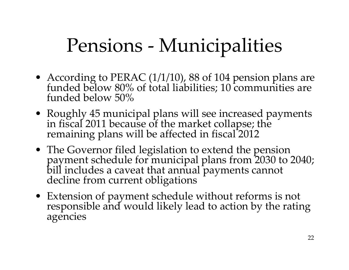# Pensions ‐ Municipalities

- According to PERAC (1/1/10), 88 of 104 pension plans are funded below 80% of total liabilities; 10 communities are funded below 50%
- Roughl Roughly 45 municipal plans will see increased payments<br>in fiscal 2011 because of the market collapse; the<br>remaining plans will be affected in fiscal 2012
- T h <sup>e</sup> Governor filed legislation to extend the pension payment schedule for municipal plans from 2030 to 2040; bill includes a caveat that annual payments cannot decline from current obligations
- Extension of payment schedule without reforms is not responsible and would likely lead to action by the rating agencies